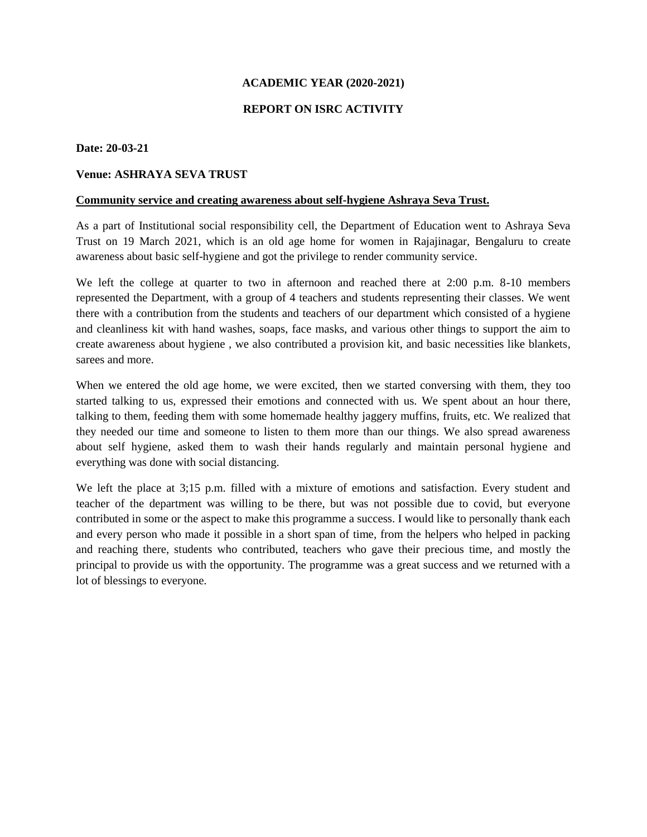## **ACADEMIC YEAR (2020-2021)**

## **REPORT ON ISRC ACTIVITY**

### **Date: 20-03-21**

# **Venue: ASHRAYA SEVA TRUST**

#### **Community service and creating awareness about self-hygiene Ashraya Seva Trust.**

As a part of Institutional social responsibility cell, the Department of Education went to Ashraya Seva Trust on 19 March 2021, which is an old age home for women in Rajajinagar, Bengaluru to create awareness about basic self-hygiene and got the privilege to render community service.

We left the college at quarter to two in afternoon and reached there at 2:00 p.m. 8-10 members represented the Department, with a group of 4 teachers and students representing their classes. We went there with a contribution from the students and teachers of our department which consisted of a hygiene and cleanliness kit with hand washes, soaps, face masks, and various other things to support the aim to create awareness about hygiene , we also contributed a provision kit, and basic necessities like blankets, sarees and more.

When we entered the old age home, we were excited, then we started conversing with them, they too started talking to us, expressed their emotions and connected with us. We spent about an hour there, talking to them, feeding them with some homemade healthy jaggery muffins, fruits, etc. We realized that they needed our time and someone to listen to them more than our things. We also spread awareness about self hygiene, asked them to wash their hands regularly and maintain personal hygiene and everything was done with social distancing.

We left the place at 3;15 p.m. filled with a mixture of emotions and satisfaction. Every student and teacher of the department was willing to be there, but was not possible due to covid, but everyone contributed in some or the aspect to make this programme a success. I would like to personally thank each and every person who made it possible in a short span of time, from the helpers who helped in packing and reaching there, students who contributed, teachers who gave their precious time, and mostly the principal to provide us with the opportunity. The programme was a great success and we returned with a lot of blessings to everyone.